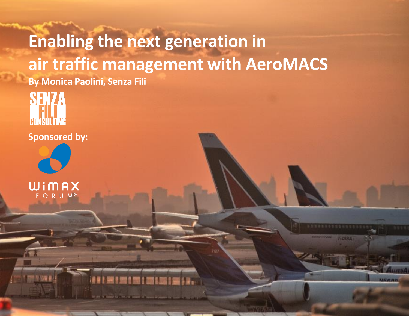# **Enabling the next generation in air traffic management with AeroMACS By Monica Paolini, Senza Fili**

© 2014 Senza Fili Consulting • www.senzafiliconsulting.com **|1|**

 $I-DISA$ 

USSOO

**SENZ EMNSHI TINE** 

**Sponsored by:** 



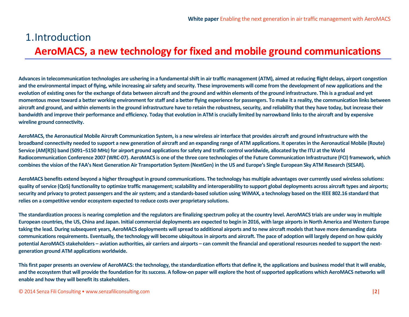### 1.Introduction **AeroMACS, a new technology for fixed and mobile ground communications**

**Advances in telecommunication technologies are ushering in a fundamental shift in air traffic management (ATM), aimed at reducing flight delays, airport congestion and the environmental impact of flying, while increasing air safety and security. These improvements will come from the development of new applications and the evolution of existing ones for the exchange of data between aircraft and the ground and within elements of the ground infrastructure. This is a gradual and yet momentous move toward a better working environment for staff and a better flying experience for passengers. To make it a reality, the communication links between aircraft and ground, and within elements in the ground infrastructure have to retain the robustness, security, and reliability that they have today, but increase their bandwidth and improve their performance and efficiency. Today that evolution in ATM is crucially limited by narrowband links to the aircraft and by expensive wireline ground connectivity.**

**AeroMACS, the Aeronautical Mobile Aircraft Communication System, is a new wireless air interface that provides aircraft and ground infrastructure with the broadband connectivity needed to support a new generation of aircraft and an expanding range of ATM applications. It operates in the Aeronautical Mobile (Route) Service (AM[R]S) band (5091–5150 MHz) for airport ground applications for safety and traffic control worldwide, allocated by the ITU at the World Radiocommunication Conference 2007 (WRC-07). AeroMACS is one of the three core technologies of the Future Communication Infrastructure (FCI) framework, which combines the vision of the FAA's Next Generation Air Transportation System (NextGen) in the US and Europe's Single European Sky ATM Research (SESAR).** 

**AeroMACS benefits extend beyond a higher throughput in ground communications. The technology has multiple advantages over currently used wireless solutions: quality of service (QoS) functionality to optimize traffic management; scalability and interoperability to support global deployments across aircraft types and airports; security and privacy to protect passengers and the airsystem; and a standards-based solution using WiMAX, a technology based on the IEEE 802.16 standard that relies on a competitive vendor ecosystem expected to reduce costs over proprietary solutions.**

**The standardization process is nearing completion and the regulators are finalizing spectrum policy at the country level. AeroMACS trials are under way in multiple European countries, the US, China and Japan. Initial commercial deployments are expected to begin in 2016, with large airports in North America and Western Europe taking the lead. During subsequent years, AeroMACS deployments will spread to additional airports and to new aircraft models that have more demanding data communications requirements. Eventually, the technology will become ubiquitous in airports and aircraft. The pace of adoption will largely depend on how quickly potential AeroMACS stakeholders – aviation authorities, air carriers and airports – can commit the financial and operational resources needed to support the nextgeneration ground ATM applications worldwide.** 

**Thisfirst paper presents an overview of AeroMACS:the technology, the standardization efforts that define it, the applications and business model that it will enable,**  and the ecosystem that will provide the foundation for its success. A follow-on paper will explore the host of supported applications which AeroMACS networks will **enable and how they will benefit its stakeholders.**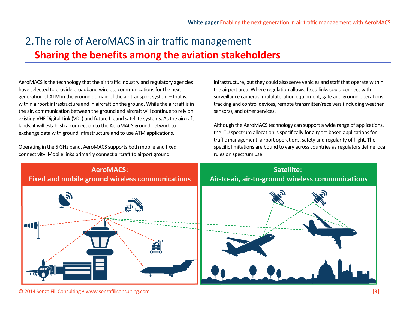# 2.The role of AeroMACS in air traffic management **Sharing the benefits among the aviation stakeholders**

AeroMACS is the technology that the air traffic industry and regulatory agencies have selected to provide broadband wireless communications for the next generation of ATM in the ground domain of the air transport system – that is, within airport infrastructure and in aircraft on the ground. While the aircraft is in the air, communication between the ground and aircraft will continue to rely on existing VHF Digital Link (VDL) and future L-band satellite systems. As the aircraft lands, it will establish a connection to the AeroMACS ground network to exchange data with ground infrastructure and to use ATM applications.

Operating in the 5 GHz band, AeroMACS supports both mobile and fixed connectivity. Mobile links primarily connect aircraft to airport ground

infrastructure, but they could also serve vehicles and staff that operate within the airport area. Where regulation allows, fixed links could connect with surveillance cameras, multilateration equipment, gate and ground operations tracking and control devices, remote transmitter/receivers (including weather sensors), and other services.

Although the AeroMACS technology can support a wide range of applications, the ITU spectrum allocation is specifically for airport-based applications for traffic management, airport operations, safety and regularity of flight. The specific limitations are bound to vary across countries as regulators define local rules on spectrum use.



© 2014 Senza Fili Consulting • www.senzafiliconsulting.com **|3|**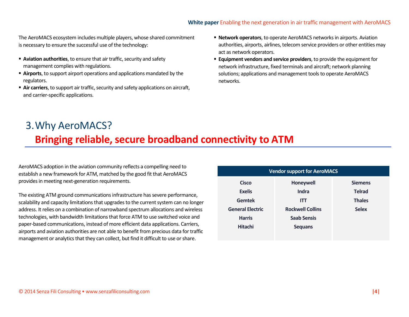#### **White paper** Enabling the next generation in air traffic management with AeroMACS

The AeroMACS ecosystem includes multiple players, whose shared commitment is necessary to ensure the successful use of the technology:

- **Aviation authorities**, to ensure that air traffic, security and safety management complies with regulations.
- **Airports**, to support airport operations and applications mandated by the regulators.
- **Air carriers**, to support air traffic, security and safety applications on aircraft, and carrier-specific applications.
- **Network operators**, to operate AeroMACS networks in airports. Aviation authorities, airports, airlines, telecom service providers or other entities may act as network operators.
- **Equipment vendors and service providers**, to provide the equipment for network infrastructure, fixed terminals and aircraft; network planning solutions; applications and management tools to operate AeroMACS networks.

# 3.Why AeroMACS? **Bringing reliable, secure broadband connectivity to ATM**

AeroMACS adoption in the aviation community reflects a compelling need to establish a new framework for ATM, matched by the good fit that AeroMACS provides in meeting next-generation requirements.

The existing ATM ground communications infrastructure has severe performance, scalability and capacity limitations that upgrades to the current system can no longer address. It relies on a combination of narrowband spectrum allocations and wireless technologies, with bandwidth limitations that force ATM to use switched voice and paper-based communications, instead of more efficient data applications. Carriers, airports and aviation authorities are not able to benefit from precious data for traffic management or analytics that they can collect, but find it difficult to use or share.

| <b>Vendor support for AeroMACS</b> |                         |                |  |  |  |
|------------------------------------|-------------------------|----------------|--|--|--|
| <b>Cisco</b>                       | Honeywell               | <b>Siemens</b> |  |  |  |
| <b>Exelis</b>                      | Indra                   | <b>Telrad</b>  |  |  |  |
| <b>Gemtek</b>                      | <b>ITT</b>              | <b>Thales</b>  |  |  |  |
| <b>General Electric</b>            | <b>Rockwell Collins</b> | <b>Selex</b>   |  |  |  |
| <b>Harris</b>                      | <b>Saab Sensis</b>      |                |  |  |  |
| <b>Hitachi</b>                     | <b>Sequans</b>          |                |  |  |  |
|                                    |                         |                |  |  |  |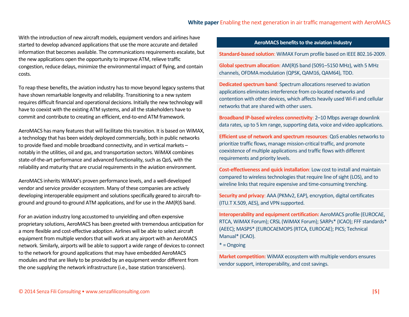With the introduction of new aircraft models, equipment vendors and airlines have started to develop advanced applications that use the more accurate and detailed information that becomes available. The communications requirements escalate, but the new applications open the opportunity to improve ATM, relieve traffic congestion, reduce delays, minimize the environmental impact of flying, and contain costs.

To reap these benefits, the aviation industry has to move beyond legacy systemsthat have shown remarkable longevity and reliability. Transitioning to a new system requires difficult financial and operational decisions. Initially the new technology will have to coexist with the existing ATM systems, and all the stakeholders have to commit and contribute to creating an efficient, end-to-end ATM framework.

AeroMACS has many features that will facilitate this transition. It is based on WiMAX, a technology that has been widely deployed commercially, both in public networks to provide fixed and mobile broadband connectivity, and in vertical markets – notably in the utilities, oil and gas, and transportation sectors. WiMAX combines state-of-the-art performance and advanced functionality, such as QoS, with the reliability and maturity that are crucial requirements in the aviation environment.

AeroMACS inherits WiMAX's proven performance levels, and a well-developed vendor and service provider ecosystem. Many of these companies are actively developing interoperable equipment and solutions specifically geared to aircraft-toground and ground-to-ground ATM applications, and for use in the AM(R)S band.

For an aviation industry long accustomed to unyielding and often expensive proprietary solutions, AeroMACS has been greeted with tremendous anticipation for a more flexible and cost-effective adoption. Airlines will be able to select aircraft equipment from multiple vendors that will work at any airport with an AeroMACS network. Similarly, airports will be able to support a wide range of devices to connect to the network for ground applications that may have embedded AeroMACS modules and that are likely to be provided by an equipment vendor different from the one supplying the network infrastructure (i.e., base station transceivers).

#### **AeroMACS benefits to the aviation industry**

**Standard-based solution**: WiMAX Forum profile based on IEEE 802.16-2009.

**Global spectrum allocation**: AM(R)S band (5091–5150 MHz), with 5 MHz channels, OFDMA modulation (QPSK, QAM16, QAM64), TDD.

**Dedicated spectrum band**: Spectrum allocations reserved to aviation applications eliminates interference from co-located networks and contention with other devices, which affects heavily used Wi-Fi and cellular networks that are shared with other users.

**Broadband IP-based wireless connectivity**: 2–10 Mbps average downlink data rates, up to 5 km range, supporting data, voice and video applications.

**Efficient use of network and spectrum resources**: QoS enables networks to prioritize traffic flows, manage mission-critical traffic, and promote coexistence of multiple applications and traffic flows with different requirements and priority levels.

**Cost-effectiveness and quick installation**: Low cost to install and maintain compared to wireless technologies that require line of sight (LOS), and to wireline links that require expensive and time-consuming trenching.

**Security and privacy**: AAA (PKMv2, EAP), encryption, digital certificates (ITU.T X.509, AES), and VPN supported.

**Interoperability and equipment certification:** AeroMACS profile (EUROCAE, RTCA, WiMAX Forum); CRSL (WiMAX Forum); SARPs\* (ICAO); FFF standards\* (AEEC); MASPS\* (EUROCAEMOPS (RTCA, EUROCAE); PICS; Technical Manual\* (ICAO).

\* = Ongoing

**Market competition:** WiMAX ecosystem with multiple vendors ensures vendor support, interoperability, and cost savings.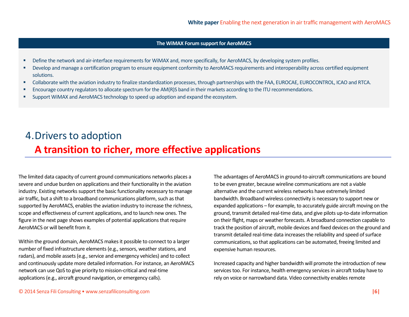#### **The WiMAX Forum support for AeroMACS**

- **•** Define the network and air-interface requirements for WiMAX and, more specifically, for AeroMACS, by developing system profiles.
- Develop and manage a certification program to ensure equipment conformity to AeroMACS requirements and interoperability across certified equipment solutions.
- Collaborate with the aviation industry to finalize standardization processes, through partnerships with the FAA, EUROCAE, EUROCONTROL, ICAO and RTCA.
- Encourage country regulators to allocate spectrum for the AM(R)S band in their markets according to the ITU recommendations.
- Support WiMAX and AeroMACS technology to speed up adoption and expand the ecosystem.

# 4.Drivers to adoption **A transition to richer, more effective applications**

The limited data capacity of current ground communications networks places a severe and undue burden on applications and their functionality in the aviation industry. Existing networks support the basic functionality necessary to manage air traffic, but a shift to a broadband communications platform, such as that supported by AeroMACS, enables the aviation industry to increase the richness, scope and effectiveness of current applications, and to launch new ones. The figure in the next page shows examples of potential applications that require AeroMACS or will benefit from it.

Within the ground domain, AeroMACS makes it possible to connect to a larger number of fixed infrastructure elements (e.g., sensors, weather stations, and radars), and mobile assets (e.g., service and emergency vehicles) and to collect and continuously update more detailed information. For instance, an AeroMACS network can use QoS to give priority to mission-critical and real-time applications (e.g., aircraft ground navigation, or emergency calls).

The advantages of AeroMACS in ground-to-aircraft communications are bound to be even greater, because wireline communications are not a viable alternative and the current wireless networks have extremely limited bandwidth. Broadband wireless connectivity is necessary to support new or expanded applications – for example, to accurately guide aircraft moving on the ground, transmit detailed real-time data, and give pilots up-to-date information on their flight, maps or weather forecasts. A broadband connection capable to track the position of aircraft, mobile devices and fixed devices on the ground and transmit detailed real-time data increases the reliability and speed of surface communications, so that applications can be automated, freeing limited and expensive human resources.

Increased capacity and higher bandwidth will promote the introduction of new services too. For instance, health emergency services in aircraft today have to rely on voice or narrowband data. Video connectivity enables remote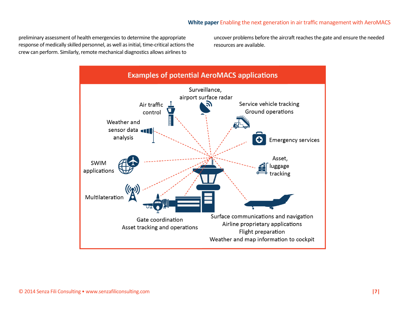preliminary assessment of health emergencies to determine the appropriate response of medically skilled personnel, as well as initial, time-critical actions the crew can perform. Similarly, remote mechanical diagnostics allows airlines to

uncover problems before the aircraft reaches the gate and ensure the needed resources are available.

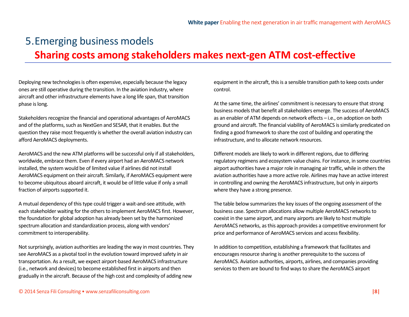## 5.Emerging business models **Sharing costs among stakeholders makes next-gen ATM cost-effective**

Deploying new technologies is often expensive, especially because the legacy ones are still operative during the transition. In the aviation industry, where aircraft and other infrastructure elements have a long life span, that transition phase is long.

Stakeholders recognize the financial and operational advantages of AeroMACS and of the platforms, such as NextGen and SESAR, that it enables. But the question they raise most frequently is whether the overall aviation industry can afford AeroMACS deployments.

AeroMACS and the new ATM platforms will be successful only if all stakeholders, worldwide, embrace them. Even if every airport had an AeroMACS network installed, the system would be of limited value if airlines did not install AeroMACS equipment on their aircraft. Similarly, if AeroMACS equipment were to become ubiquitous aboard aircraft, it would be of little value if only a small fraction of airports supported it.

A mutual dependency of this type could trigger a wait-and-see attitude, with each stakeholder waiting for the others to implement AeroMACS first. However, the foundation for global adoption has already been set by the harmonized spectrum allocation and standardization process, along with vendors' commitment to interoperability.

Not surprisingly, aviation authorities are leading the way in most countries. They see AeroMACS as a pivotal tool in the evolution toward improved safety in air transportation. As a result, we expect airport-based AeroMACS infrastructure (i.e., network and devices) to become established first in airports and then gradually in the aircraft. Because of the high cost and complexity of adding new

equipment in the aircraft, this is a sensible transition path to keep costs under control.

At the same time, the airlines' commitment is necessary to ensure that strong business models that benefit all stakeholders emerge. The success of AeroMACS as an enabler of ATM depends on network effects – i.e., on adoption on both ground and aircraft. The financial viability of AeroMACS is similarly predicated on finding a good framework to share the cost of building and operating the infrastructure, and to allocate network resources.

Different models are likely to work in different regions, due to differing regulatory regimens and ecosystem value chains. For instance, in some countries airport authorities have a major role in managing air traffic, while in others the aviation authorities have a more active role. Airlines may have an active interest in controlling and owning the AeroMACS infrastructure, but only in airports where they have a strong presence.

The table below summarizes the key issues of the ongoing assessment of the business case. Spectrum allocations allow multiple AeroMACS networks to coexist in the same airport, and many airports are likely to host multiple AeroMACS networks, as this approach provides a competitive environment for price and performance of AeroMACS services and access flexibility.

In addition to competition, establishing a framework that facilitates and encourages resource sharing is another prerequisite to the success of AeroMACS. Aviation authorities, airports, airlines, and companies providing services to them are bound to find ways to share the AeroMACS airport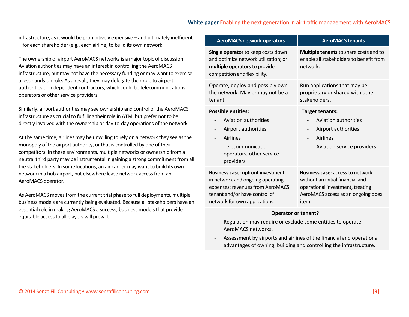#### **White paper** Enabling the next generation in air traffic management with AeroMACS

infrastructure, as it would be prohibitively expensive – and ultimately inefficient – for each shareholder (e.g., each airline) to build its own network.

The ownership of airport AeroMACS networksis a major topic of discussion. Aviation authorities may have an interest in controlling the AeroMACS infrastructure, but may not have the necessary funding or may want to exercise a less hands-on role. As a result, they may delegate their role to airport authorities or independent contractors, which could be telecommunications operators or other service providers.

Similarly, airport authorities may see ownership and control of the AeroMACS infrastructure as crucial to fulfilling their role in ATM, but prefer not to be directly involved with the ownership or day-to-day operations of the network.

At the same time, airlines may be unwilling to rely on a network they see as the monopoly of the airport authority, or that is controlled by one of their competitors. In these environments, multiple networks or ownership from a neutral third party may be instrumental in gaining a strong commitment from all the stakeholders. In some locations, an air carrier may want to build its own network in a hub airport, but elsewhere lease network access from an AeroMACS operator.

As AeroMACS moves from the current trial phase to full deployments, multiple business models are currently being evaluated. Because all stakeholders have an essential role in making AeroMACS a success, business models that provide equitable access to all players will prevail.

| <b>AeroMACS network operators</b>                                                                                                                                                  | <b>AeroMACS tenants</b>                                                                                                                                                                                               |  |
|------------------------------------------------------------------------------------------------------------------------------------------------------------------------------------|-----------------------------------------------------------------------------------------------------------------------------------------------------------------------------------------------------------------------|--|
| Single operator to keep costs down<br>and optimize network utilization; or<br>multiple operators to provide<br>competition and flexibility.                                        | <b>Multiple tenants</b> to share costs and to<br>enable all stakeholders to benefit from<br>network.                                                                                                                  |  |
| Operate, deploy and possibly own<br>the network. May or may not be a<br>tenant.                                                                                                    | Run applications that may be<br>proprietary or shared with other<br>stakeholders.                                                                                                                                     |  |
| <b>Possible entities:</b><br>Aviation authorities<br>Airport authorities<br>$\overline{\phantom{a}}$<br>Airlines<br>Telecommunication<br>operators, other service<br>providers     | <b>Target tenants:</b><br>Aviation authorities<br>$\overline{\phantom{a}}$<br>Airport authorities<br>$\overline{\phantom{0}}$<br>Airlines<br>$\overline{a}$<br>Aviation service providers<br>$\overline{\phantom{0}}$ |  |
| <b>Business case:</b> upfront investment<br>in network and ongoing operating<br>expenses; revenues from AeroMACS<br>tenant and/or have control of<br>network for own applications. | <b>Business case:</b> access to network<br>without an initial financial and<br>operational investment, treating<br>AeroMACS access as an ongoing opex<br>item.                                                        |  |

#### **Operator or tenant?**

- Regulation may require or exclude some entities to operate AeroMACS networks.
- Assessment by airports and airlines of the financial and operational advantages of owning, building and controlling the infrastructure.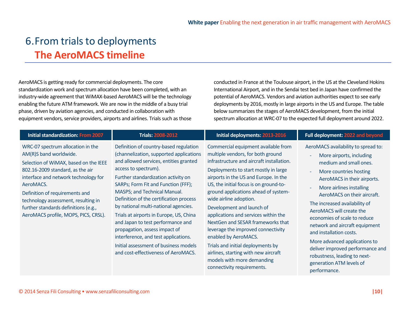### 6.From trials to deployments **The AeroMACS timeline**

AeroMACS is getting ready for commercial deployments. The core standardization work and spectrum allocation have been completed, with an industry-wide agreement that WiMAX-based AeroMACS will be the technology enabling the future ATM framework. We are now in the middle of a busy trial phase, driven by aviation agencies, and conducted in collaboration with equipment vendors, service providers, airports and airlines. Trials such as those

conducted in France at the Toulouse airport, in the US at the Cleveland Hokins International Airport, and in the Sendai test bed in Japan have confirmed the potential of AeroMACS. Vendors and aviation authorities expect to see early deployments by 2016, mostly in large airports in the US and Europe. The table below summarizes the stages of AeroMACS development, from the initial spectrum allocation at WRC-07 to the expected full deployment around 2022.

| <b>Initial standardization: From 2007</b>                                                                                                                                                                                                                                                                                                              | <b>Trials: 2008-2012</b>                                                                                                                                                                                                                                                                                                                                                                                                                                                                                                                                                                      | <b>Initial deployments: 2013-2016</b>                                                                                                                                                                                                                                                                                                                                                                                                                                                                                                                                                                                                | Full deployment: 2022 and beyond                                                                                                                                                                                                                                                                                                                                                                                                                                                                                         |
|--------------------------------------------------------------------------------------------------------------------------------------------------------------------------------------------------------------------------------------------------------------------------------------------------------------------------------------------------------|-----------------------------------------------------------------------------------------------------------------------------------------------------------------------------------------------------------------------------------------------------------------------------------------------------------------------------------------------------------------------------------------------------------------------------------------------------------------------------------------------------------------------------------------------------------------------------------------------|--------------------------------------------------------------------------------------------------------------------------------------------------------------------------------------------------------------------------------------------------------------------------------------------------------------------------------------------------------------------------------------------------------------------------------------------------------------------------------------------------------------------------------------------------------------------------------------------------------------------------------------|--------------------------------------------------------------------------------------------------------------------------------------------------------------------------------------------------------------------------------------------------------------------------------------------------------------------------------------------------------------------------------------------------------------------------------------------------------------------------------------------------------------------------|
| WRC-07 spectrum allocation in the<br>AM(R)S band worldwide.<br>Selection of WiMAX, based on the IEEE<br>802.16-2009 standard, as the air<br>interface and network technology for<br>AeroMACS.<br>Definition of requirements and<br>technology assessment, resulting in<br>further standards definitions (e.g.,<br>AeroMACS profile, MOPS, PICS, CRSL). | Definition of country-based regulation<br>(channelization, supported applications<br>and allowed services, entities granted<br>access to spectrum).<br>Further standardization activity on<br>SARPs; Form Fit and Function (FFF);<br>MASPS; and Technical Manual.<br>Definition of the certification process<br>by national multi-national agencies.<br>Trials at airports in Europe, US, China<br>and Japan to test performance and<br>propagation, assess impact of<br>interference, and test applications.<br>Initial assessment of business models<br>and cost-effectiveness of AeroMACS. | Commercial equipment available from<br>multiple vendors, for both ground<br>infrastructure and aircraft installation.<br>Deployments to start mostly in large<br>airports in the US and Europe. In the<br>US, the initial focus is on ground-to-<br>ground applications ahead of system-<br>wide airline adoption.<br>Development and launch of<br>applications and services within the<br>Next Gen and SESAR frameworks that<br>leverage the improved connectivity<br>enabled by AeroMACS.<br>Trials and initial deployments by<br>airlines, starting with new aircraft<br>models with more demanding<br>connectivity requirements. | AeroMACS availability to spread to:<br>More airports, including<br>medium and small ones.<br>More countries hosting<br>AeroMACS in their airports.<br>More airlines installing<br>AeroMACS on their aircraft.<br>The increased availability of<br>AeroMACS will create the<br>economies of scale to reduce<br>network and aircraft equipment<br>and installation costs.<br>More advanced applications to<br>deliver improved performance and<br>robustness, leading to next-<br>generation ATM levels of<br>performance. |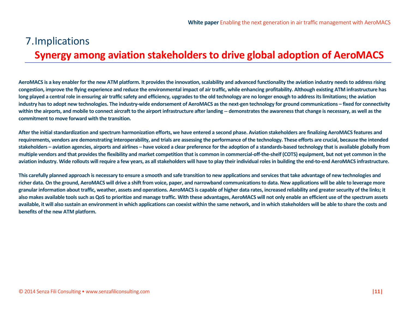# 7.Implications **Synergy among aviation stakeholders to drive global adoption of AeroMACS**

**AeroMACS is a key enabler for the new ATM platform. It provides the innovation, scalability and advanced functionality the aviation industry needs to address rising congestion, improve the flying experience and reduce the environmental impact of air traffic, while enhancing profitability. Although existing ATM infrastructure has long played a central role in ensuring air traffic safety and efficiency, upgrades to the old technology are no longer enough to address its limitations; the aviation industry has to adopt new technologies. The industry-wide endorsement of AeroMACS as the next-gen technology for ground communications – fixed for connectivity within the airports, and mobile to connect aircraft to the airport infrastructure after landing -- demonstrates the awareness that change is necessary, as well as the commitment to move forward with the transition.**

**After the initial standardization and spectrum harmonization efforts, we have entered a second phase. Aviation stakeholders are finalizing AeroMACS features and requirements, vendors are demonstrating interoperability, and trials are assessing the performance of the technology. These efforts are crucial, because the intended stakeholders – aviation agencies, airports and airlines – have voiced a clear preference for the adoption of a standards-based technology that is available globally from multiple vendors and that provides the flexibility and market competition that is common in commercial-off-the-shelf (COTS) equipment, but not yet common in the aviation industry. Wide rollouts will require a few years, as all stakeholders will have to play their individual rolesin building the end-to-end AeroMACS infrastructure.**

**This carefully planned approach is necessary to ensure a smooth and safe transition to new applications and services that take advantage of new technologies and richer data. On the ground, AeroMACS will drive a shift from voice, paper, and narrowband communications to data. New applications will be able to leverage more granular information about traffic, weather, assets and operations. AeroMACS is capable of higher data rates, increased reliability and greater security of the links; it also makes available tools such as QoS to prioritize and manage traffic. With these advantages, AeroMACS will not only enable an efficient use of the spectrum assets available, it will also sustain an environment in which applications can coexist within the same network, and in which stakeholders will be able to share the costs and benefits of the new ATM platform.**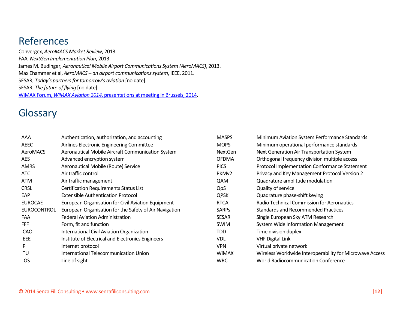### References

Convergex, *AeroMACS Market Review*, 2013. FAA, *NextGen Implementation Plan*, 2013. James M. Budinger, *Aeronautical Mobile Airport Communications System (AeroMACS)*, 2013. Max Ehammer et al, *AeroMACS – an airport communications system*, IEEE, 2011. SESAR, *Today's partners for tomorrow's aviation* [no date]. SESAR, *The future of flying* [no date]. WiMAX Forum, *WiMAX Aviation 2014*[, presentations at meeting in Brussels, 2014.](http://www.wimaxforum.org/files/WiMAX_Forum_Events_2014/WiMAX_Aviation_2014_Brussels_Presentations.pdf)

### **Glossary**

| AAA                | Authentication, authorization, and accounting          | <b>MASPS</b>      | Minimum Aviation System Performance Standards            |
|--------------------|--------------------------------------------------------|-------------------|----------------------------------------------------------|
| AEEC               | Airlines Electronic Engineering Committee              | <b>MOPS</b>       | Minimum operational performance standards                |
| AeroMACS           | Aeronautical Mobile Aircraft Communication System      | <b>NextGen</b>    | Next Generation Air Transportation System                |
| <b>AES</b>         | Advanced encryption system                             | <b>OFDMA</b>      | Orthogonal frequency division multiple access            |
| <b>AMRS</b>        | Aeronautical Mobile (Route) Service                    | <b>PICS</b>       | Protocol Implementation Conformance Statement            |
| ATC                | Air traffic control                                    | PKM <sub>v2</sub> | Privacy and Key Management Protocol Version 2            |
| <b>ATM</b>         | Air traffic management                                 | QAM               | Quadrature amplitude modulation                          |
| <b>CRSL</b>        | Certification Requirements Status List                 | QoS               | Quality of service                                       |
| EAP                | <b>Extensible Authentication Protocol</b>              | <b>QPSK</b>       | Quadrature phase-shift keying                            |
| <b>EUROCAE</b>     | European Organisation for Civil Aviation Equipment     | <b>RTCA</b>       | Radio Technical Commission for Aeronautics               |
| <b>EUROCONTROL</b> | European Organisation for the Safety of Air Navigation | <b>SARPS</b>      | <b>Standards and Recommended Practices</b>               |
| FAA                | <b>Federal Aviation Administration</b>                 | <b>SESAR</b>      | Single European Sky ATM Research                         |
| <b>FFF</b>         | Form, fit and function                                 | SWIM              | System Wide Information Management                       |
| <b>ICAO</b>        | International Civil Aviation Organization              | <b>TDD</b>        | Time division duplex                                     |
| <b>IEEE</b>        | Institute of Electrical and Electronics Engineers      | <b>VDL</b>        | <b>VHF Digital Link</b>                                  |
| IP                 | Internet protocol                                      | <b>VPN</b>        | Virtual private network                                  |
| <b>ITU</b>         | International Telecommunication Union                  | <b>WIMAX</b>      | Wireless Worldwide Interoperability for Microwave Access |
| LOS                | Line of sight                                          | <b>WRC</b>        | <b>World Radiocommunication Conference</b>               |